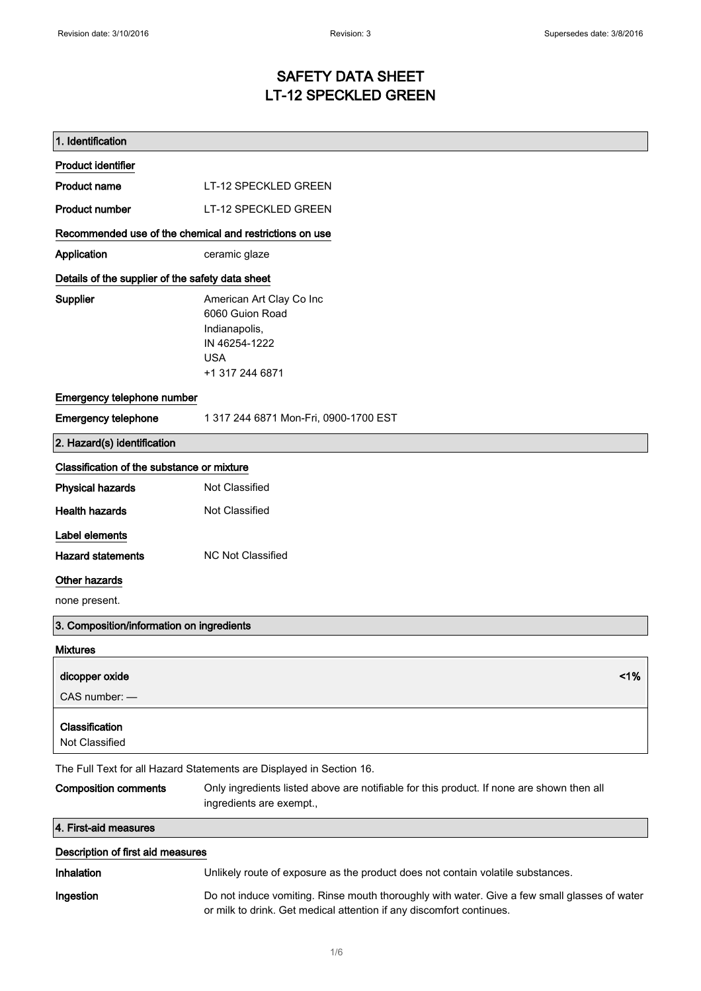# SAFETY DATA SHEET LT-12 SPECKLED GREEN

| 1. Identification                                       |                                                                                                                                                                      |
|---------------------------------------------------------|----------------------------------------------------------------------------------------------------------------------------------------------------------------------|
| <b>Product identifier</b>                               |                                                                                                                                                                      |
| Product name                                            | LT-12 SPECKLED GREEN                                                                                                                                                 |
| <b>Product number</b>                                   | LT-12 SPECKLED GREEN                                                                                                                                                 |
| Recommended use of the chemical and restrictions on use |                                                                                                                                                                      |
| Application                                             | ceramic glaze                                                                                                                                                        |
| Details of the supplier of the safety data sheet        |                                                                                                                                                                      |
| <b>Supplier</b>                                         | American Art Clay Co Inc<br>6060 Guion Road<br>Indianapolis,<br>IN 46254-1222<br><b>USA</b><br>+1 317 244 6871                                                       |
| Emergency telephone number                              |                                                                                                                                                                      |
| <b>Emergency telephone</b>                              | 1 317 244 6871 Mon-Fri, 0900-1700 EST                                                                                                                                |
| 2. Hazard(s) identification                             |                                                                                                                                                                      |
| Classification of the substance or mixture              |                                                                                                                                                                      |
| <b>Physical hazards</b>                                 | Not Classified                                                                                                                                                       |
| <b>Health hazards</b>                                   | Not Classified                                                                                                                                                       |
| Label elements                                          |                                                                                                                                                                      |
| <b>Hazard statements</b>                                | <b>NC Not Classified</b>                                                                                                                                             |
| Other hazards                                           |                                                                                                                                                                      |
| none present.                                           |                                                                                                                                                                      |
| 3. Composition/information on ingredients               |                                                                                                                                                                      |
| <b>Mixtures</b>                                         |                                                                                                                                                                      |
| dicopper oxide<br>CAS number: -<br>Classification       | 1%                                                                                                                                                                   |
| Not Classified                                          |                                                                                                                                                                      |
|                                                         | The Full Text for all Hazard Statements are Displayed in Section 16.                                                                                                 |
| <b>Composition comments</b>                             | Only ingredients listed above are notifiable for this product. If none are shown then all<br>ingredients are exempt.,                                                |
| 4. First-aid measures                                   |                                                                                                                                                                      |
| Description of first aid measures                       |                                                                                                                                                                      |
| <b>Inhalation</b>                                       | Unlikely route of exposure as the product does not contain volatile substances.                                                                                      |
| Ingestion                                               | Do not induce vomiting. Rinse mouth thoroughly with water. Give a few small glasses of water<br>or milk to drink. Get medical attention if any discomfort continues. |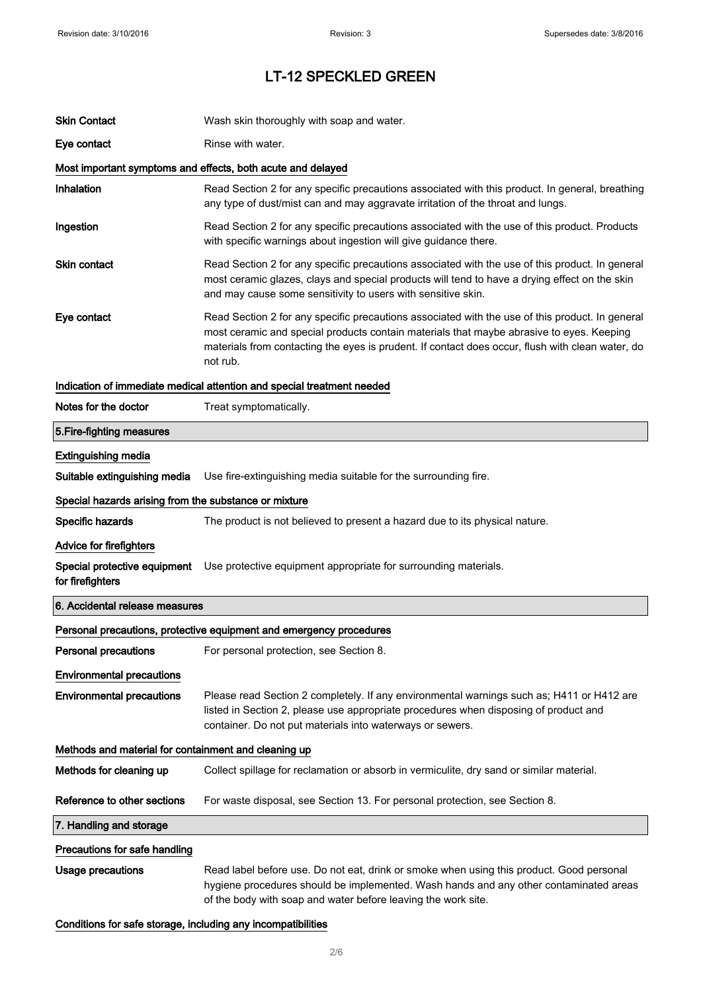| <b>Skin Contact</b>                                   | Wash skin thoroughly with soap and water.                                                                                                                                                                                                                                                                   |  |
|-------------------------------------------------------|-------------------------------------------------------------------------------------------------------------------------------------------------------------------------------------------------------------------------------------------------------------------------------------------------------------|--|
| Eye contact                                           | Rinse with water.                                                                                                                                                                                                                                                                                           |  |
|                                                       | Most important symptoms and effects, both acute and delayed                                                                                                                                                                                                                                                 |  |
| Inhalation                                            | Read Section 2 for any specific precautions associated with this product. In general, breathing<br>any type of dust/mist can and may aggravate irritation of the throat and lungs.                                                                                                                          |  |
| Ingestion                                             | Read Section 2 for any specific precautions associated with the use of this product. Products<br>with specific warnings about ingestion will give guidance there.                                                                                                                                           |  |
| <b>Skin contact</b>                                   | Read Section 2 for any specific precautions associated with the use of this product. In general<br>most ceramic glazes, clays and special products will tend to have a drying effect on the skin<br>and may cause some sensitivity to users with sensitive skin.                                            |  |
| Eye contact                                           | Read Section 2 for any specific precautions associated with the use of this product. In general<br>most ceramic and special products contain materials that maybe abrasive to eyes. Keeping<br>materials from contacting the eyes is prudent. If contact does occur, flush with clean water, do<br>not rub. |  |
|                                                       | Indication of immediate medical attention and special treatment needed                                                                                                                                                                                                                                      |  |
| Notes for the doctor                                  | Treat symptomatically.                                                                                                                                                                                                                                                                                      |  |
| 5. Fire-fighting measures                             |                                                                                                                                                                                                                                                                                                             |  |
| <b>Extinguishing media</b>                            |                                                                                                                                                                                                                                                                                                             |  |
| Suitable extinguishing media                          | Use fire-extinguishing media suitable for the surrounding fire.                                                                                                                                                                                                                                             |  |
| Special hazards arising from the substance or mixture |                                                                                                                                                                                                                                                                                                             |  |
| Specific hazards                                      | The product is not believed to present a hazard due to its physical nature.                                                                                                                                                                                                                                 |  |
| <b>Advice for firefighters</b>                        |                                                                                                                                                                                                                                                                                                             |  |
| Special protective equipment<br>for firefighters      | Use protective equipment appropriate for surrounding materials.                                                                                                                                                                                                                                             |  |
| 6. Accidental release measures                        |                                                                                                                                                                                                                                                                                                             |  |
|                                                       | Personal precautions, protective equipment and emergency procedures                                                                                                                                                                                                                                         |  |
| <b>Personal precautions</b>                           | For personal protection, see Section 8.                                                                                                                                                                                                                                                                     |  |
| <b>Environmental precautions</b>                      |                                                                                                                                                                                                                                                                                                             |  |
| <b>Environmental precautions</b>                      | Please read Section 2 completely. If any environmental warnings such as; H411 or H412 are<br>listed in Section 2, please use appropriate procedures when disposing of product and<br>container. Do not put materials into waterways or sewers.                                                              |  |
| Methods and material for containment and cleaning up  |                                                                                                                                                                                                                                                                                                             |  |
| Methods for cleaning up                               | Collect spillage for reclamation or absorb in vermiculite, dry sand or similar material.                                                                                                                                                                                                                    |  |
| Reference to other sections                           | For waste disposal, see Section 13. For personal protection, see Section 8.                                                                                                                                                                                                                                 |  |
| 7. Handling and storage                               |                                                                                                                                                                                                                                                                                                             |  |
| Precautions for safe handling                         |                                                                                                                                                                                                                                                                                                             |  |
| <b>Usage precautions</b>                              | Read label before use. Do not eat, drink or smoke when using this product. Good personal<br>hygiene procedures should be implemented. Wash hands and any other contaminated areas<br>of the body with soap and water before leaving the work site.                                                          |  |

Conditions for safe storage, including any incompatibilities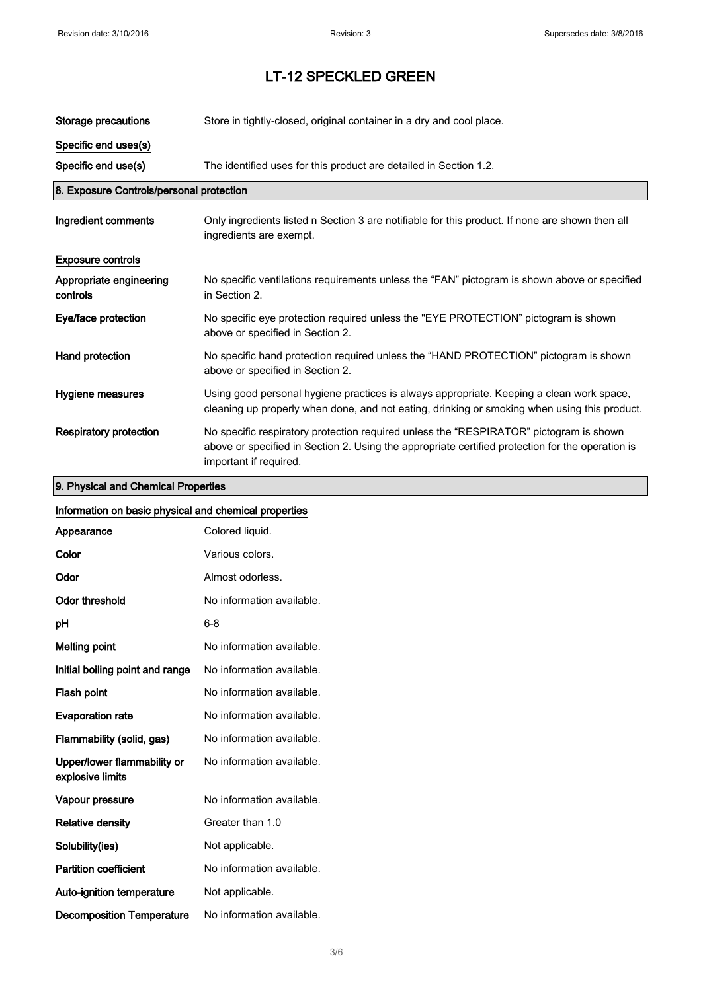| Storage precautions                      | Store in tightly-closed, original container in a dry and cool place.                                                                                                                                                 |
|------------------------------------------|----------------------------------------------------------------------------------------------------------------------------------------------------------------------------------------------------------------------|
| Specific end uses(s)                     |                                                                                                                                                                                                                      |
| Specific end use(s)                      | The identified uses for this product are detailed in Section 1.2.                                                                                                                                                    |
| 8. Exposure Controls/personal protection |                                                                                                                                                                                                                      |
| Ingredient comments                      | Only ingredients listed n Section 3 are notifiable for this product. If none are shown then all<br>ingredients are exempt.                                                                                           |
| <b>Exposure controls</b>                 |                                                                                                                                                                                                                      |
| Appropriate engineering<br>controls      | No specific ventilations requirements unless the "FAN" pictogram is shown above or specified<br>in Section 2.                                                                                                        |
| Eye/face protection                      | No specific eye protection required unless the "EYE PROTECTION" pictogram is shown<br>above or specified in Section 2.                                                                                               |
| Hand protection                          | No specific hand protection required unless the "HAND PROTECTION" pictogram is shown<br>above or specified in Section 2.                                                                                             |
| Hygiene measures                         | Using good personal hygiene practices is always appropriate. Keeping a clean work space,<br>cleaning up properly when done, and not eating, drinking or smoking when using this product.                             |
| Respiratory protection                   | No specific respiratory protection required unless the "RESPIRATOR" pictogram is shown<br>above or specified in Section 2. Using the appropriate certified protection for the operation is<br>important if required. |

## 9. Physical and Chemical Properties

| Information on basic physical and chemical properties |                           |
|-------------------------------------------------------|---------------------------|
| Appearance                                            | Colored liquid.           |
| Color                                                 | Various colors.           |
| Odor                                                  | Almost odorless.          |
| <b>Odor threshold</b>                                 | No information available. |
| pH                                                    | $6 - 8$                   |
| <b>Melting point</b>                                  | No information available. |
| Initial boiling point and range                       | No information available. |
| Flash point                                           | No information available. |
| <b>Evaporation rate</b>                               | No information available. |
| Flammability (solid, gas)                             | No information available. |
| Upper/lower flammability or<br>explosive limits       | No information available. |
| Vapour pressure                                       | No information available. |
| <b>Relative density</b>                               | Greater than 1.0          |
| Solubility(ies)                                       | Not applicable.           |
| <b>Partition coefficient</b>                          | No information available. |
| Auto-ignition temperature                             | Not applicable.           |
| <b>Decomposition Temperature</b>                      | No information available. |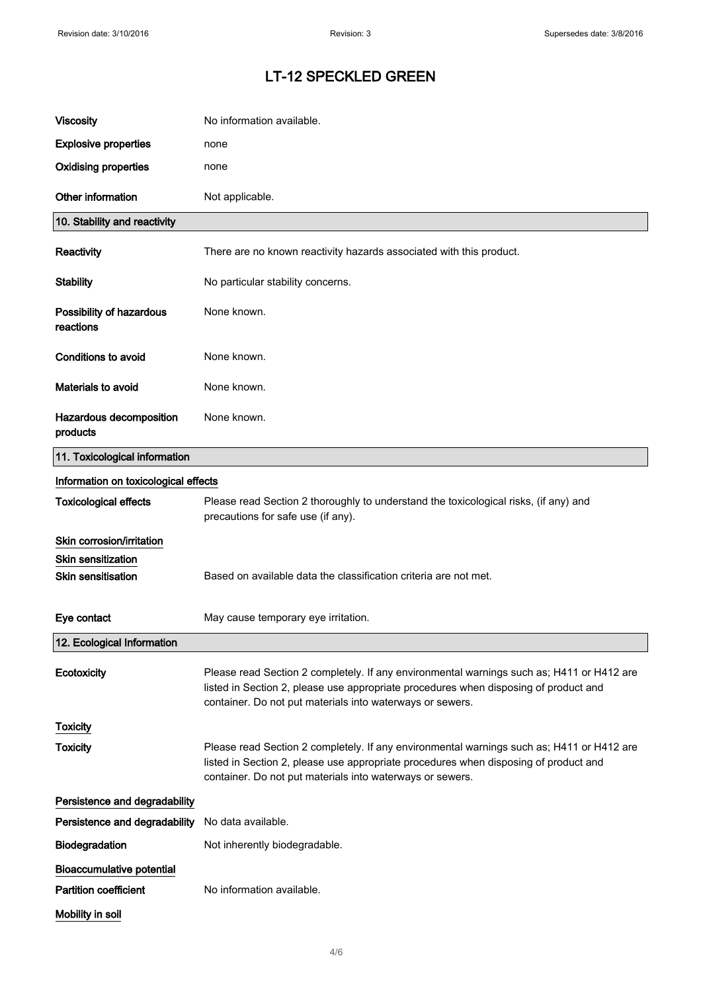| <b>Viscosity</b>                                       | No information available.                                                                                                                                                                                                                      |
|--------------------------------------------------------|------------------------------------------------------------------------------------------------------------------------------------------------------------------------------------------------------------------------------------------------|
| <b>Explosive properties</b>                            | none                                                                                                                                                                                                                                           |
| <b>Oxidising properties</b>                            | none                                                                                                                                                                                                                                           |
| Other information                                      | Not applicable.                                                                                                                                                                                                                                |
| 10. Stability and reactivity                           |                                                                                                                                                                                                                                                |
| Reactivity                                             | There are no known reactivity hazards associated with this product.                                                                                                                                                                            |
| <b>Stability</b>                                       | No particular stability concerns.                                                                                                                                                                                                              |
| Possibility of hazardous<br>reactions                  | None known.                                                                                                                                                                                                                                    |
| <b>Conditions to avoid</b>                             | None known.                                                                                                                                                                                                                                    |
| <b>Materials to avoid</b>                              | None known.                                                                                                                                                                                                                                    |
| Hazardous decomposition<br>products                    | None known.                                                                                                                                                                                                                                    |
| 11. Toxicological information                          |                                                                                                                                                                                                                                                |
| Information on toxicological effects                   |                                                                                                                                                                                                                                                |
| <b>Toxicological effects</b>                           | Please read Section 2 thoroughly to understand the toxicological risks, (if any) and<br>precautions for safe use (if any).                                                                                                                     |
| Skin corrosion/irritation                              |                                                                                                                                                                                                                                                |
| <b>Skin sensitization</b><br><b>Skin sensitisation</b> | Based on available data the classification criteria are not met.                                                                                                                                                                               |
|                                                        |                                                                                                                                                                                                                                                |
| Eye contact                                            | May cause temporary eye irritation.                                                                                                                                                                                                            |
| 12. Ecological Information                             |                                                                                                                                                                                                                                                |
| Ecotoxicity                                            | Please read Section 2 completely. If any environmental warnings such as; H411 or H412 are<br>listed in Section 2, please use appropriate procedures when disposing of product and<br>container. Do not put materials into waterways or sewers. |
| <b>Toxicity</b>                                        |                                                                                                                                                                                                                                                |
| <b>Toxicity</b>                                        | Please read Section 2 completely. If any environmental warnings such as; H411 or H412 are<br>listed in Section 2, please use appropriate procedures when disposing of product and<br>container. Do not put materials into waterways or sewers. |
| Persistence and degradability                          |                                                                                                                                                                                                                                                |
| Persistence and degradability                          | No data available.                                                                                                                                                                                                                             |
| Biodegradation                                         | Not inherently biodegradable.                                                                                                                                                                                                                  |
| <b>Bioaccumulative potential</b>                       |                                                                                                                                                                                                                                                |
| <b>Partition coefficient</b>                           | No information available.                                                                                                                                                                                                                      |
| Mobility in soil                                       |                                                                                                                                                                                                                                                |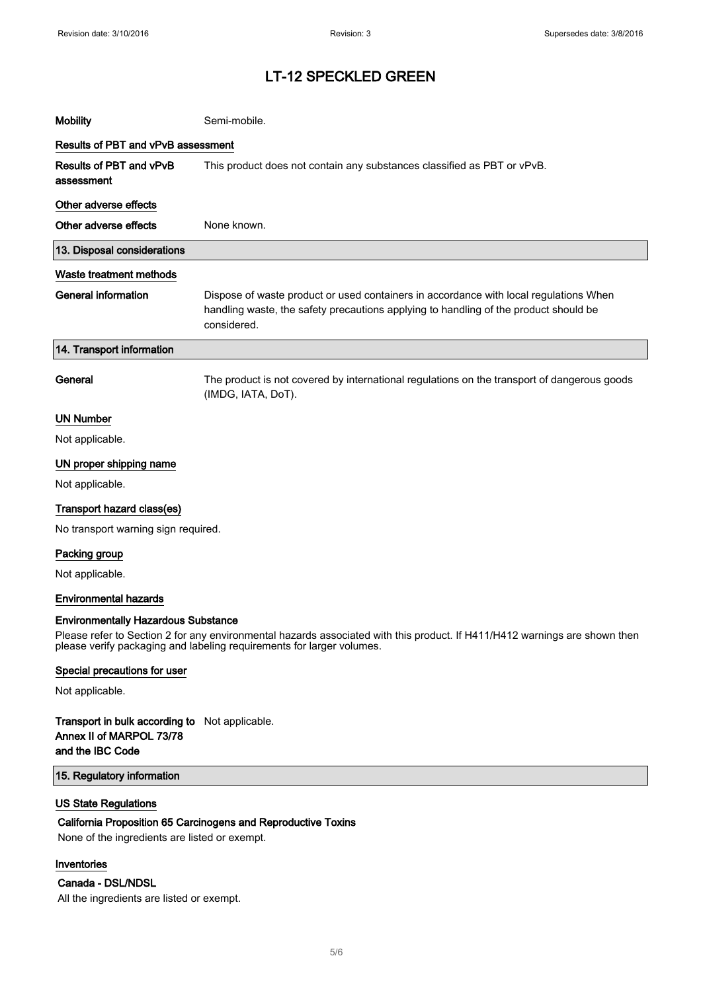| <b>Mobility</b>                       | Semi-mobile.                                                                                                                                                                                 |  |
|---------------------------------------|----------------------------------------------------------------------------------------------------------------------------------------------------------------------------------------------|--|
| Results of PBT and vPvB assessment    |                                                                                                                                                                                              |  |
| Results of PBT and vPvB<br>assessment | This product does not contain any substances classified as PBT or vPvB.                                                                                                                      |  |
| Other adverse effects                 |                                                                                                                                                                                              |  |
| Other adverse effects                 | None known.                                                                                                                                                                                  |  |
| 13. Disposal considerations           |                                                                                                                                                                                              |  |
| Waste treatment methods               |                                                                                                                                                                                              |  |
| <b>General information</b>            | Dispose of waste product or used containers in accordance with local regulations When<br>handling waste, the safety precautions applying to handling of the product should be<br>considered. |  |
| 14. Transport information             |                                                                                                                                                                                              |  |
| General                               | The product is not covered by international regulations on the transport of dangerous goods<br>(IMDG, IATA, DoT).                                                                            |  |
| <b>UN Number</b>                      |                                                                                                                                                                                              |  |
| Not applicable.                       |                                                                                                                                                                                              |  |
| UN proper shipping name               |                                                                                                                                                                                              |  |
| Not applicable.                       |                                                                                                                                                                                              |  |
| Transport hazard class(es)            |                                                                                                                                                                                              |  |
| No transport warning sign required.   |                                                                                                                                                                                              |  |
| Packing group                         |                                                                                                                                                                                              |  |
| Not applicable.                       |                                                                                                                                                                                              |  |
| <b>Environmental hazards</b>          |                                                                                                                                                                                              |  |

#### Environmentally Hazardous Substance

Please refer to Section 2 for any environmental hazards associated with this product. If H411/H412 warnings are shown then please verify packaging and labeling requirements for larger volumes.

#### Special precautions for user

Not applicable.

### Transport in bulk according to Not applicable. Annex II of MARPOL 73/78 and the IBC Code

### 15. Regulatory information

### US State Regulations

#### California Proposition 65 Carcinogens and Reproductive Toxins

None of the ingredients are listed or exempt.

### Inventories

#### Canada - DSL/NDSL

All the ingredients are listed or exempt.